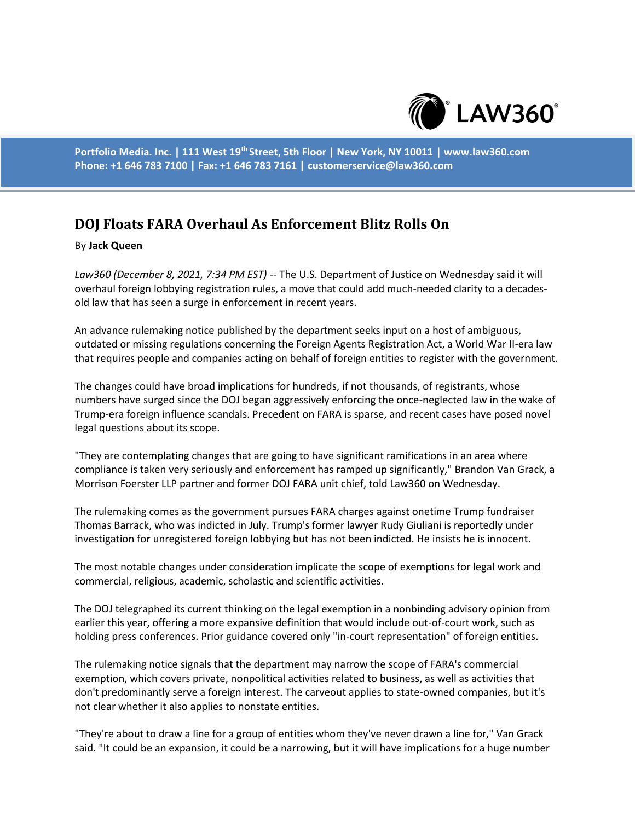

**Portfolio Media. Inc. | 111 West 19th Street, 5th Floor | New York, NY 10011 | www.law360.com Phone: +1 646 783 7100 | Fax: +1 646 783 7161 | customerservice@law360.com**

## **DOJ Floats FARA Overhaul As Enforcement Blitz Rolls On**

## By **Jack Queen**

*Law360 (December 8, 2021, 7:34 PM EST)* -- The U.S. Department of Justice on Wednesday said it will overhaul foreign lobbying registration rules, a move that could add much-needed clarity to a decadesold law that has seen a surge in enforcement in recent years.

An advance rulemaking notice published by the department seeks input on a host of ambiguous, outdated or missing regulations concerning the Foreign Agents Registration Act, a World War II-era law that requires people and companies acting on behalf of foreign entities to register with the government.

The changes could have broad implications for hundreds, if not thousands, of registrants, whose numbers have surged since the DOJ began aggressively enforcing the once-neglected law in the wake of Trump-era foreign influence scandals. Precedent on FARA is sparse, and recent cases have posed novel legal questions about its scope.

"They are contemplating changes that are going to have significant ramifications in an area where compliance is taken very seriously and enforcement has ramped up significantly," Brandon Van Grack, a Morrison Foerster LLP partner and former DOJ FARA unit chief, told Law360 on Wednesday.

The rulemaking comes as the government pursues FARA charges against onetime Trump fundraiser Thomas Barrack, who was indicted in July. Trump's former lawyer Rudy Giuliani is reportedly under investigation for unregistered foreign lobbying but has not been indicted. He insists he is innocent.

The most notable changes under consideration implicate the scope of exemptions for legal work and commercial, religious, academic, scholastic and scientific activities.

The DOJ telegraphed its current thinking on the legal exemption in a nonbinding advisory opinion from earlier this year, offering a more expansive definition that would include out-of-court work, such as holding press conferences. Prior guidance covered only "in-court representation" of foreign entities.

The rulemaking notice signals that the department may narrow the scope of FARA's commercial exemption, which covers private, nonpolitical activities related to business, as well as activities that don't predominantly serve a foreign interest. The carveout applies to state-owned companies, but it's not clear whether it also applies to nonstate entities.

"They're about to draw a line for a group of entities whom they've never drawn a line for," Van Grack said. "It could be an expansion, it could be a narrowing, but it will have implications for a huge number